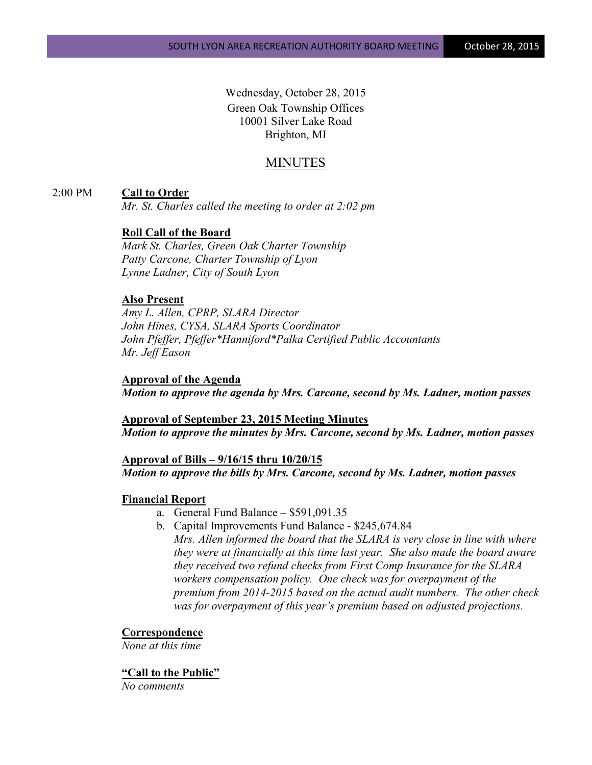Wednesday, October 28, 2015 Green Oak Township Offices 10001 Silver Lake Road Brighton, MI

# MINUTES

### 2:00 PM **Call to Order**

*Mr. St. Charles called the meeting to order at 2:02 pm*

### **Roll Call of the Board**

*Mark St. Charles, Green Oak Charter Township Patty Carcone, Charter Township of Lyon Lynne Ladner, City of South Lyon* 

### **Also Present**

*Amy L. Allen, CPRP, SLARA Director John Hines, CYSA, SLARA Sports Coordinator John Pfeffer, Pfeffer\*Hanniford\*Palka Certified Public Accountants Mr. Jeff Eason*

#### **Approval of the Agenda**

*Motion to approve the agenda by Mrs. Carcone, second by Ms. Ladner, motion passes*

**Approval of September 23, 2015 Meeting Minutes** *Motion to approve the minutes by Mrs. Carcone, second by Ms. Ladner, motion passes*

#### **Approval of Bills – 9/16/15 thru 10/20/15**

*Motion to approve the bills by Mrs. Carcone, second by Ms. Ladner, motion passes*

#### **Financial Report**

- a. General Fund Balance \$591,091.35
- b. Capital Improvements Fund Balance \$245,674.84 *Mrs. Allen informed the board that the SLARA is very close in line with where they were at financially at this time last year. She also made the board aware they received two refund checks from First Comp Insurance for the SLARA workers compensation policy. One check was for overpayment of the premium from 2014-2015 based on the actual audit numbers. The other check was for overpayment of this year's premium based on adjusted projections.*

### **Correspondence**

*None at this time*

#### **"Call to the Public"**

*No comments*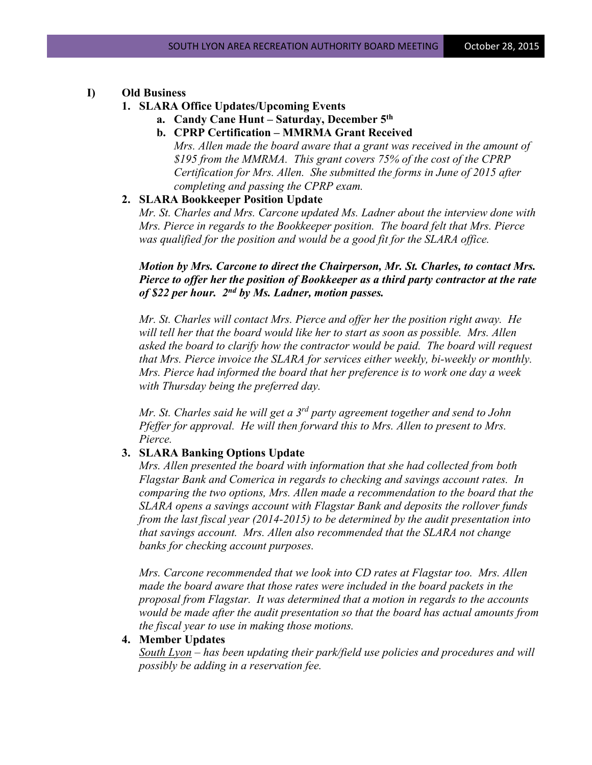### **I) Old Business**

#### **1. SLARA Office Updates/Upcoming Events**

- **a. Candy Cane Hunt – Saturday, December 5th**
- **b. CPRP Certification – MMRMA Grant Received**

*Mrs. Allen made the board aware that a grant was received in the amount of \$195 from the MMRMA. This grant covers 75% of the cost of the CPRP Certification for Mrs. Allen. She submitted the forms in June of 2015 after completing and passing the CPRP exam.* 

### **2. SLARA Bookkeeper Position Update**

*Mr. St. Charles and Mrs. Carcone updated Ms. Ladner about the interview done with Mrs. Pierce in regards to the Bookkeeper position. The board felt that Mrs. Pierce was qualified for the position and would be a good fit for the SLARA office.* 

### *Motion by Mrs. Carcone to direct the Chairperson, Mr. St. Charles, to contact Mrs. Pierce to offer her the position of Bookkeeper as a third party contractor at the rate of \$22 per hour. 2nd by Ms. Ladner, motion passes.*

*Mr. St. Charles will contact Mrs. Pierce and offer her the position right away. He will tell her that the board would like her to start as soon as possible. Mrs. Allen asked the board to clarify how the contractor would be paid. The board will request that Mrs. Pierce invoice the SLARA for services either weekly, bi-weekly or monthly. Mrs. Pierce had informed the board that her preference is to work one day a week with Thursday being the preferred day.*

*Mr. St. Charles said he will get a 3rd party agreement together and send to John Pfeffer for approval. He will then forward this to Mrs. Allen to present to Mrs. Pierce.*

### **3. SLARA Banking Options Update**

*Mrs. Allen presented the board with information that she had collected from both Flagstar Bank and Comerica in regards to checking and savings account rates. In comparing the two options, Mrs. Allen made a recommendation to the board that the SLARA opens a savings account with Flagstar Bank and deposits the rollover funds from the last fiscal year (2014-2015) to be determined by the audit presentation into that savings account. Mrs. Allen also recommended that the SLARA not change banks for checking account purposes.*

*Mrs. Carcone recommended that we look into CD rates at Flagstar too. Mrs. Allen made the board aware that those rates were included in the board packets in the proposal from Flagstar. It was determined that a motion in regards to the accounts would be made after the audit presentation so that the board has actual amounts from the fiscal year to use in making those motions.*

### **4. Member Updates**

*South Lyon – has been updating their park/field use policies and procedures and will possibly be adding in a reservation fee.*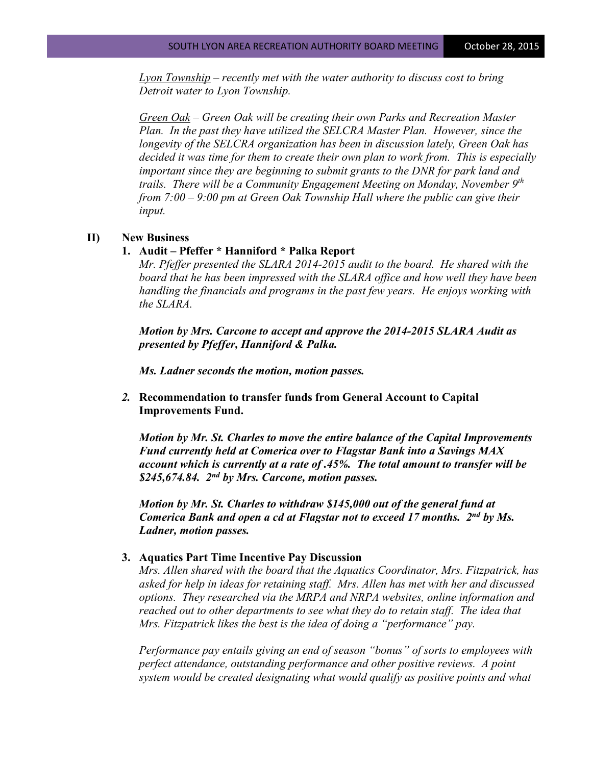*Lyon Township – recently met with the water authority to discuss cost to bring Detroit water to Lyon Township.*

*Green Oak – Green Oak will be creating their own Parks and Recreation Master Plan. In the past they have utilized the SELCRA Master Plan. However, since the longevity of the SELCRA organization has been in discussion lately, Green Oak has decided it was time for them to create their own plan to work from. This is especially important since they are beginning to submit grants to the DNR for park land and trails. There will be a Community Engagement Meeting on Monday, November 9th from 7:00 – 9:00 pm at Green Oak Township Hall where the public can give their input.*

#### **II) New Business**

#### **1. Audit – Pfeffer \* Hanniford \* Palka Report**

*Mr. Pfeffer presented the SLARA 2014-2015 audit to the board. He shared with the board that he has been impressed with the SLARA office and how well they have been handling the financials and programs in the past few years. He enjoys working with the SLARA.*

*Motion by Mrs. Carcone to accept and approve the 2014-2015 SLARA Audit as presented by Pfeffer, Hanniford & Palka.* 

*Ms. Ladner seconds the motion, motion passes.*

### *2.* **Recommendation to transfer funds from General Account to Capital Improvements Fund.**

*Motion by Mr. St. Charles to move the entire balance of the Capital Improvements Fund currently held at Comerica over to Flagstar Bank into a Savings MAX account which is currently at a rate of .45%. The total amount to transfer will be \$245,674.84. 2nd by Mrs. Carcone, motion passes.*

*Motion by Mr. St. Charles to withdraw \$145,000 out of the general fund at Comerica Bank and open a cd at Flagstar not to exceed 17 months. 2nd by Ms. Ladner, motion passes.*

#### **3. Aquatics Part Time Incentive Pay Discussion**

*Mrs. Allen shared with the board that the Aquatics Coordinator, Mrs. Fitzpatrick, has asked for help in ideas for retaining staff. Mrs. Allen has met with her and discussed options. They researched via the MRPA and NRPA websites, online information and reached out to other departments to see what they do to retain staff. The idea that Mrs. Fitzpatrick likes the best is the idea of doing a "performance" pay.* 

*Performance pay entails giving an end of season "bonus" of sorts to employees with perfect attendance, outstanding performance and other positive reviews. A point system would be created designating what would qualify as positive points and what*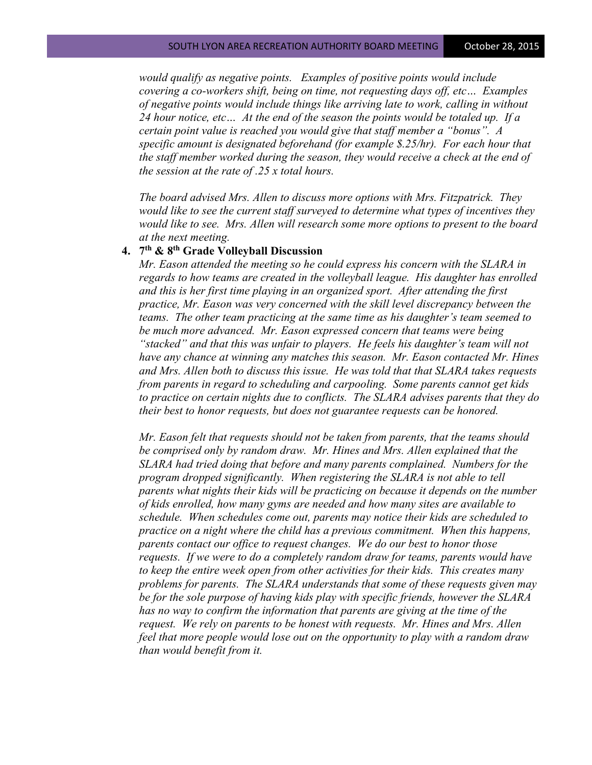*would qualify as negative points. Examples of positive points would include covering a co-workers shift, being on time, not requesting days off, etc… Examples of negative points would include things like arriving late to work, calling in without 24 hour notice, etc… At the end of the season the points would be totaled up. If a certain point value is reached you would give that staff member a "bonus". A specific amount is designated beforehand (for example \$.25/hr). For each hour that the staff member worked during the season, they would receive a check at the end of the session at the rate of .25 x total hours.*

*The board advised Mrs. Allen to discuss more options with Mrs. Fitzpatrick. They would like to see the current staff surveyed to determine what types of incentives they would like to see. Mrs. Allen will research some more options to present to the board at the next meeting.*

## **4. 7th & 8th Grade Volleyball Discussion**

*Mr. Eason attended the meeting so he could express his concern with the SLARA in regards to how teams are created in the volleyball league. His daughter has enrolled and this is her first time playing in an organized sport. After attending the first practice, Mr. Eason was very concerned with the skill level discrepancy between the teams. The other team practicing at the same time as his daughter's team seemed to be much more advanced. Mr. Eason expressed concern that teams were being "stacked" and that this was unfair to players. He feels his daughter's team will not have any chance at winning any matches this season. Mr. Eason contacted Mr. Hines and Mrs. Allen both to discuss this issue. He was told that that SLARA takes requests from parents in regard to scheduling and carpooling. Some parents cannot get kids to practice on certain nights due to conflicts. The SLARA advises parents that they do their best to honor requests, but does not guarantee requests can be honored.* 

*Mr. Eason felt that requests should not be taken from parents, that the teams should be comprised only by random draw. Mr. Hines and Mrs. Allen explained that the SLARA had tried doing that before and many parents complained. Numbers for the program dropped significantly. When registering the SLARA is not able to tell parents what nights their kids will be practicing on because it depends on the number of kids enrolled, how many gyms are needed and how many sites are available to schedule. When schedules come out, parents may notice their kids are scheduled to practice on a night where the child has a previous commitment. When this happens, parents contact our office to request changes. We do our best to honor those requests. If we were to do a completely random draw for teams, parents would have to keep the entire week open from other activities for their kids. This creates many problems for parents. The SLARA understands that some of these requests given may be for the sole purpose of having kids play with specific friends, however the SLARA has no way to confirm the information that parents are giving at the time of the request. We rely on parents to be honest with requests. Mr. Hines and Mrs. Allen feel that more people would lose out on the opportunity to play with a random draw than would benefit from it.*